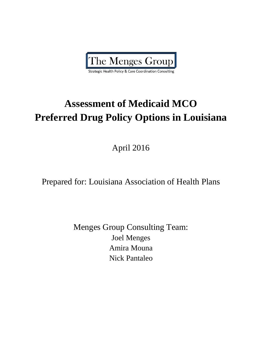

**Strategic Health Policy & Care Coordination Consulting** 

# **Assessment of Medicaid MCO Preferred Drug Policy Options in Louisiana**

April 2016

# Prepared for: Louisiana Association of Health Plans

Menges Group Consulting Team: Joel Menges Amira Mouna Nick Pantaleo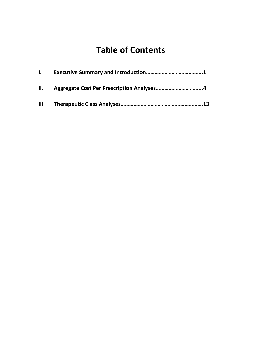# **Table of Contents**

| $\mathbf{L}$ |                                               |  |
|--------------|-----------------------------------------------|--|
|              | II. Aggregate Cost Per Prescription Analyses4 |  |
|              |                                               |  |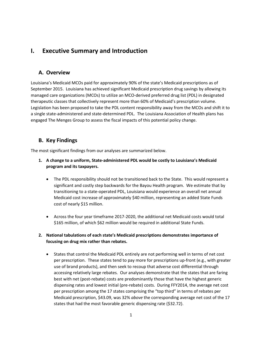# **I. Executive Summary and Introduction**

#### **A. Overview**

Louisiana's Medicaid MCOs paid for approximately 90% of the state's Medicaid prescriptions as of September 2015. Louisiana has achieved significant Medicaid prescription drug savings by allowing its managed care organizations (MCOs) to utilize an MCO-derived preferred drug list (PDL) in designated therapeutic classes that collectively represent more than 60% of Medicaid's prescription volume. Legislation has been proposed to take the PDL content responsibility away from the MCOs and shift it to a single state-administered and state-determined PDL. The Louisiana Association of Health plans has engaged The Menges Group to assess the fiscal impacts of this potential policy change.

#### **B. Key Findings**

The most significant findings from our analyses are summarized below.

- **1. A change to a uniform, State-administered PDL would be costly to Louisiana's Medicaid program and its taxpayers.**
	- The PDL responsibility should not be transitioned back to the State. This would represent a significant and costly step backwards for the Bayou Health program. We estimate that by transitioning to a state-operated PDL, Louisiana would experience an overall net annual Medicaid cost increase of approximately \$40 million, representing an added State Funds cost of nearly \$15 million.
	- Across the four year timeframe 2017-2020, the additional net Medicaid costs would total \$165 million, of which \$62 million would be required in additional State Funds.

#### **2. National tabulations of each state's Medicaid prescriptions demonstrates importance of focusing on drug mix rather than rebates.**

 States that control the Medicaid PDL entirely are not performing well in terms of net cost per prescription. These states tend to pay more for prescriptions up-front (e.g., with greater use of brand products), and then seek to recoup that adverse cost differential through accessing relatively large rebates. Our analyses demonstrate that the states that are faring best with net (post-rebate) costs are predominantly those that have the highest generic dispensing rates and lowest initial (pre-rebate) costs. During FFY2014, the average net cost per prescription among the 17 states comprising the "top third" in terms of rebates per Medicaid prescription, \$43.09, was 32% *above* the corresponding average net cost of the 17 states that had the most favorable generic dispensing rate (\$32.72).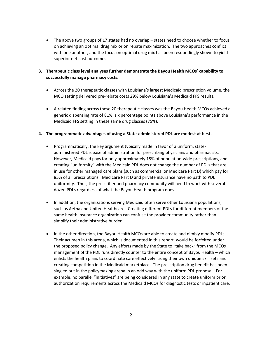• The above two groups of 17 states had no overlap – states need to choose whether to focus on achieving an optimal drug mix or on rebate maximization. The two approaches conflict with one another, and the focus on optimal drug mix has been resoundingly shown to yield superior net cost outcomes.

#### **3. Therapeutic class level analyses further demonstrate the Bayou Health MCOs' capability to successfully manage pharmacy costs.**

- Across the 20 therapeutic classes with Louisiana's largest Medicaid prescription volume, the MCO setting delivered pre-rebate costs 29% below Louisiana's Medicaid FFS results.
- A related finding across these 20 therapeutic classes was the Bayou Health MCOs achieved a generic dispensing rate of 81%, six percentage points above Louisiana's performance in the Medicaid FFS setting in these same drug classes (75%).

#### **4. The programmatic advantages of using a State-administered PDL are modest at best.**

- Programmatically, the key argument typically made in favor of a uniform, stateadministered PDL is ease of administration for prescribing physicians and pharmacists. However, Medicaid pays for only approximately 15% of population-wide prescriptions, and creating "uniformity" with the Medicaid PDL does not change the number of PDLs that are in use for other managed care plans (such as commercial or Medicare Part D) which pay for 85% of all prescriptions. Medicare Part D and private insurance have no path to PDL uniformity. Thus, the prescriber and pharmacy community will need to work with several dozen PDLs regardless of what the Bayou Health program does.
- In addition, the organizations serving Medicaid often serve other Louisiana populations, such as Aetna and United Healthcare. Creating different PDLs for different members of the same health insurance organization can confuse the provider community rather than simplify their administrative burden.
- In the other direction, the Bayou Health MCOs are able to create and nimbly modify PDLs. Their acumen in this arena, which is documented in this report, would be forfeited under the proposed policy change. Any efforts made by the State to "take back" from the MCOs management of the PDL runs directly counter to the entire concept of Bayou Health – which enlists the health plans to coordinate care effectively using their own unique skill sets and creating competition in the Medicaid marketplace. The prescription drug benefit has been singled out in the policymaking arena in an odd way with the uniform PDL proposal. For example, no parallel "initiatives" are being considered in any state to create uniform prior authorization requirements across the Medicaid MCOs for diagnostic tests or inpatient care.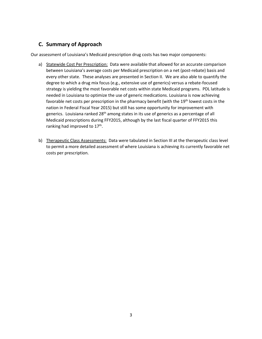### **C. Summary of Approach**

Our assessment of Louisiana's Medicaid prescription drug costs has two major components:

- a) Statewide Cost Per Prescription: Data were available that allowed for an accurate comparison between Louisiana's average costs per Medicaid prescription on a net (post-rebate) basis and every other state. These analyses are presented in Section II. We are also able to quantify the degree to which a drug mix focus (e.g., extensive use of generics) versus a rebate-focused strategy is yielding the most favorable net costs within state Medicaid programs. PDL latitude is needed in Louisiana to optimize the use of generic medications. Louisiana is now achieving favorable net costs per prescription in the pharmacy benefit (with the 19<sup>th</sup> lowest costs in the nation in Federal Fiscal Year 2015) but still has some opportunity for improvement with generics. Louisiana ranked 28<sup>th</sup> among states in its use of generics as a percentage of all Medicaid prescriptions during FFY2015, although by the last fiscal quarter of FFY2015 this ranking had improved to 17<sup>th</sup>.
- b) Therapeutic Class Assessments: Data were tabulated in Section III at the therapeutic class level to permit a more detailed assessment of where Louisiana is achieving its currently favorable net costs per prescription.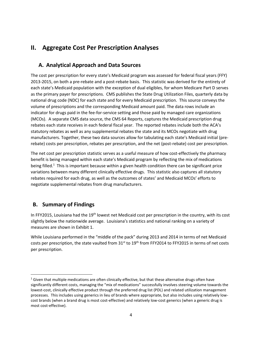# **II. Aggregate Cost Per Prescription Analyses**

## **A. Analytical Approach and Data Sources**

The cost per prescription for every state's Medicaid program was assessed for federal fiscal years (FFY) 2013-2015, on both a pre-rebate and a post-rebate basis. This statistic was derived for the entirety of each state's Medicaid population with the exception of dual eligibles, for whom Medicare Part D serves as the primary payer for prescriptions. CMS publishes the State Drug Utilization Files, quarterly data by national drug code (NDC) for each state and for every Medicaid prescription. This source conveys the volume of prescriptions and the corresponding Medicaid amount paid. The data rows include an indicator for drugs paid in the fee-for-service setting and those paid by managed care organizations (MCOs). A separate CMS data source, the CMS 64 Reports, captures the Medicaid prescription drug rebates each state receives in each federal fiscal year. The reported rebates include both the ACA's statutory rebates as well as any supplemental rebates the state and its MCOs negotiate with drug manufacturers. Together, these two data sources allow for tabulating each state's Medicaid initial (prerebate) costs per prescription, rebates per prescription, and the net (post-rebate) cost per prescription.

The net cost per prescription statistic serves as a useful measure of how cost-effectively the pharmacy benefit is being managed within each state's Medicaid program by reflecting the mix of medications being filled.<sup>1</sup> This is important because within a given health condition there can be significant price variations between many different clinically effective drugs. This statistic also captures all statutory rebates required for each drug, as well as the outcomes of states' and Medicaid MCOs' efforts to negotiate supplemental rebates from drug manufacturers.

# **B. Summary of Findings**

 $\overline{a}$ 

In FFY2015, Louisiana had the 19<sup>th</sup> lowest net Medicaid cost per prescription in the country, with its cost slightly below the nationwide average. Louisiana's statistics and national ranking on a variety of measures are shown in Exhibit 1.

While Louisiana performed in the "middle of the pack" during 2013 and 2014 in terms of net Medicaid costs per prescription, the state vaulted from  $31^{st}$  to  $19^{th}$  from FFY2014 to FFY2015 in terms of net costs per prescription.

 $1$  Given that multiple medications are often clinically effective, but that these alternative drugs often have significantly different costs, managing the "mix of medications" successfully involves steering volume towards the lowest-cost, clinically effective product through the preferred drug list (PDL) and related utilization management processes. This includes using generics in lieu of brands where appropriate, but also includes using relatively lowcost brands (when a brand drug is most cost-effective) and relatively low-cost generics (when a generic drug is most cost-effective).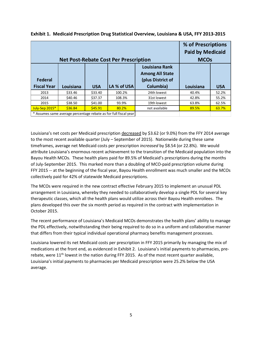| % of Prescriptions<br><b>Paid by Medicaid</b><br><b>Net Post-Rebate Cost Per Prescription</b><br><b>MCOs</b> |           |            |                                                                  |                                                                            |           |            |  |  |
|--------------------------------------------------------------------------------------------------------------|-----------|------------|------------------------------------------------------------------|----------------------------------------------------------------------------|-----------|------------|--|--|
| <b>Federal</b><br><b>Fiscal Year</b>                                                                         | Louisiana | <b>USA</b> | LA % of USA                                                      | Louisiana Rank<br><b>Among All State</b><br>(plus District of<br>Columbia) | Louisiana | <b>USA</b> |  |  |
| 2013                                                                                                         | \$33.46   | \$33.40    | 100.2%                                                           | 24th lowest                                                                | 40.4%     | 52.2%      |  |  |
| 2014                                                                                                         | \$40.46   | \$37.37    | 108.3%                                                           | 31st lowest                                                                | 42.8%     | 55.2%      |  |  |
| 2015                                                                                                         | \$38.50   | \$41.00    | 93.9%                                                            | 19th lowest                                                                | 63.8%     | 62.5%      |  |  |
| July-Sep 2015*                                                                                               | \$36.84   | \$45.91    | 80.2%                                                            | not available                                                              | 89.5%     | 63.7%      |  |  |
|                                                                                                              |           |            | * Assumes same average percentage rebate as for full fiscal year |                                                                            |           |            |  |  |

|  |  | Exhibit 1. Medicaid Prescription Drug Statistical Overview, Louisiana & USA, FFY 2013-2015 |  |  |
|--|--|--------------------------------------------------------------------------------------------|--|--|
|--|--|--------------------------------------------------------------------------------------------|--|--|

Louisiana's net costs per Medicaid prescription decreased by \$3.62 (or 9.0%) from the FFY 2014 average to the most recent available quarter (July – September of 2015). Nationwide during these same timeframes, average net Medicaid costs per prescription *increased* by \$8.54 (or 22.8%). We would attribute Louisiana's enormous recent achievement to the transition of the Medicaid population into the Bayou Health MCOs. These health plans paid for 89.5% of Medicaid's prescriptions during the months of July-September 2015. This marked more than a doubling of MCO-paid prescription volume during FFY 2015 -- at the beginning of the fiscal year, Bayou Health enrollment was much smaller and the MCOs collectively paid for 42% of statewide Medicaid prescriptions.

The MCOs were required in the new contract effective February 2015 to implement an unusual PDL arrangement in Louisiana, whereby they needed to collaboratively develop a single PDL for several key therapeutic classes, which all the health plans would utilize across their Bayou Health enrollees. The plans developed this over the six month period as required in the contract with implementation in October 2015.

The recent performance of Louisiana's Medicaid MCOs demonstrates the health plans' ability to manage the PDL effectively, notwithstanding their being required to do so in a uniform and collaborative manner that differs from their typical individual operational pharmacy benefits management processes.

Louisiana lowered its net Medicaid costs per prescription in FFY 2015 primarily by managing the mix of medications at the front end, as evidenced in Exhibit 2. Louisiana's initial payments to pharmacies, prerebate, were 11<sup>th</sup> lowest in the nation during FFY 2015. As of the most recent quarter available, Louisiana's initial payments to pharmacies per Medicaid prescription were 25.2% below the USA average.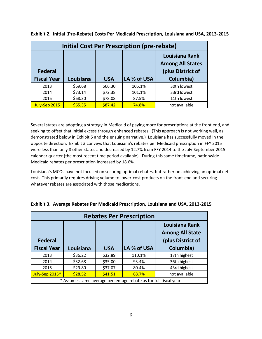|                                      |           |            | Initial Cost Per Prescription (pre-rebate) |                                                                                    |
|--------------------------------------|-----------|------------|--------------------------------------------|------------------------------------------------------------------------------------|
| <b>Federal</b><br><b>Fiscal Year</b> | Louisiana | <b>USA</b> | LA % of USA                                | <b>Louisiana Rank</b><br><b>Among All States</b><br>(plus District of<br>Columbia) |
| 2013                                 | \$69.68   | \$66.30    | 105.1%                                     | 30th lowest                                                                        |
| 2014                                 | \$73.14   | \$72.38    | 101.1%                                     | 33rd lowest                                                                        |
| 2015                                 | \$68.30   | \$78.08    | 87.5%                                      | 11th lowest                                                                        |
| July-Sep 2015                        | \$65.35   | \$87.42    | 74.8%                                      | not available                                                                      |

**Exhibit 2. Initial (Pre-Rebate) Costs Per Medicaid Prescription, Louisiana and USA, 2013-2015**

Several states are adopting a strategy in Medicaid of paying more for prescriptions at the front end, and seeking to offset that initial excess through enhanced rebates. (This approach is not working well, as demonstrated below in Exhibit 5 and the ensuing narrative.) Louisiana has successfully moved in the opposite direction. Exhibit 3 conveys that Louisiana's rebates per Medicaid prescription in FFY 2015 were less than only 8 other states and decreased by 12.7% from FFY 2014 to the July-September 2015 calendar quarter (the most recent time period available). During this same timeframe, nationwide Medicaid rebates per prescription increased by 18.6%.

Louisiana's MCOs have not focused on securing optimal rebates, but rather on achieving an optimal net cost. This primarily requires driving volume to lower-cost products on the front-end and securing whatever rebates are associated with those medications.

| <b>Rebates Per Prescription</b>      |           |            |                                                                  |                                                                            |  |  |  |
|--------------------------------------|-----------|------------|------------------------------------------------------------------|----------------------------------------------------------------------------|--|--|--|
| <b>Federal</b><br><b>Fiscal Year</b> | Louisiana | <b>USA</b> | LA % of USA                                                      | Louisiana Rank<br><b>Among All State</b><br>(plus District of<br>Columbia) |  |  |  |
| 2013                                 | \$36.22   | \$32.89    | 110.1%                                                           | 17th highest                                                               |  |  |  |
| 2014                                 | \$32.68   | \$35.00    | 93.4%                                                            | 36th highest                                                               |  |  |  |
| 2015                                 | \$29.80   | \$37.07    | 80.4%                                                            | 43rd highest                                                               |  |  |  |
| July-Sep 2015*                       | \$28.52   | \$41.51    | 68.7%                                                            | not available                                                              |  |  |  |
|                                      |           |            | * Assumes same average percentage rebate as for full fiscal year |                                                                            |  |  |  |

**Exhibit 3. Average Rebates Per Medicaid Prescription, Louisiana and USA, 2013-2015**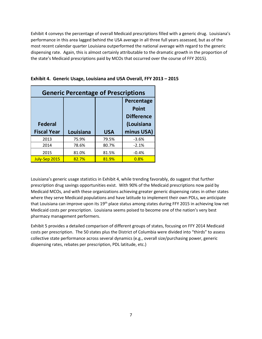Exhibit 4 conveys the percentage of overall Medicaid prescriptions filled with a generic drug. Louisiana's performance in this area lagged behind the USA average in all three full years assessed, but as of the most recent calendar quarter Louisiana outperformed the national average with regard to the generic dispensing rate. Again, this is almost certainly attributable to the dramatic growth in the proportion of the state's Medicaid prescriptions paid by MCOs that occurred over the course of FFY 2015).

|                    | <b>Generic Percentage of Prescriptions</b> |            |                   |  |
|--------------------|--------------------------------------------|------------|-------------------|--|
|                    |                                            |            | Percentage        |  |
|                    |                                            |            | <b>Point</b>      |  |
|                    |                                            |            | <b>Difference</b> |  |
| <b>Federal</b>     |                                            |            | (Louisiana        |  |
| <b>Fiscal Year</b> | Louisiana                                  | <b>USA</b> | minus USA)        |  |
| 2013               | 75.9%                                      | 79.5%      | $-3.6%$           |  |
| 2014               | 78.6%                                      | 80.7%      | $-2.1%$           |  |
| 2015               | 81.0%                                      | 81.5%      | $-0.4%$           |  |
| July-Sep 2015      | 82.7%                                      | 81.9%      | 0.8%              |  |

|  |  |  | Exhibit 4. Generic Usage, Louisiana and USA Overall, FFY 2013 - 2015 |  |
|--|--|--|----------------------------------------------------------------------|--|
|  |  |  |                                                                      |  |

Louisiana's generic usage statistics in Exhibit 4, while trending favorably, do suggest that further prescription drug savings opportunities exist. With 90% of the Medicaid prescriptions now paid by Medicaid MCOs, and with these organizations achieving greater generic dispensing rates in other states where they serve Medicaid populations and have latitude to implement their own PDLs, we anticipate that Louisiana can improve upon its 19<sup>th</sup> place status among states during FFY 2015 in achieving low net Medicaid costs per prescription. Louisiana seems poised to become one of the nation's very best pharmacy management performers.

Exhibit 5 provides a detailed comparison of different groups of states, focusing on FFY 2014 Medicaid costs per prescription. The 50 states plus the District of Columbia were divided into "thirds" to assess collective state performance across several dynamics (e.g., overall size/purchasing power, generic dispensing rates, rebates per prescription, PDL latitude, etc.)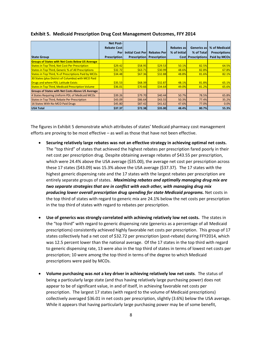|                                                             | <b>Net Post-</b>    |                          |                     |              |                           |                      |
|-------------------------------------------------------------|---------------------|--------------------------|---------------------|--------------|---------------------------|----------------------|
|                                                             | <b>Rebate Costl</b> |                          |                     | Rebates as   | <b>Generics as</b>        | % of Medicaid        |
|                                                             | Perl                | <b>Initial Cost Perl</b> | <b>Rebates Perl</b> | % of Initial | % of Total                | <b>Prescriptions</b> |
| <b>State Group</b>                                          | <b>Prescription</b> | <b>Prescription</b>      | <b>Prescription</b> |              | <b>Cost Prescriptions</b> | Paid by MCOs         |
| <b>Groups of States with Net Costs Below US Average</b>     |                     |                          |                     |              |                           |                      |
| <b>States in Top Third, Net Cost Per Prescription</b>       | \$29.42             | \$58.95                  | \$29.53             | 50.1%        | 82.5%                     | 64.5%                |
| <b>States in Top Third, Generic % of All Prescriptions</b>  | \$32.72             | \$63.71                  | \$30.99             | 48.6%        | 82.8%                     | 67.8%                |
| <b>States in Top Third, % of Prescriptions Paid by MCOs</b> | \$34.48             | \$67.36                  | \$32.88             | 48.8%        | 81.6%                     | 82.1%                |
| 30 States (plus District of Columbia) with MCO Paid         |                     |                          |                     |              |                           |                      |
| Drugs and where PDL Latitude Exists                         | \$35.53             | \$68.39                  | \$32.87             | 48.1%        | 81.8%                     | 65.1%                |
| <b>States in Top Third, Medicaid Prescription Volume</b>    | \$36.01             | \$70.66                  | \$34.64             | 49.0%        | 81.2%                     | 65.6%                |
| <b>Groups of States with Net Costs Above US Average</b>     |                     |                          |                     |              |                           |                      |
| 4 States Requiring Uniform PDL of Medicaid MCOs             | \$39.26             | \$79.70                  | \$40.44             | 50.7%        | 78.5%                     | 65.8%                |
| States in Top Third, Rebate Per Prescription                | \$43.09             | \$86.64                  | \$43.55             | 50.3%        | 77.4%                     | 35.2%                |
| 16 States With No MCO Paid Drugs                            | \$45.80             | \$87.42                  | \$41.62             | 47.6%        | 77.0%                     | 0.0%                 |
| <b>USA Total</b>                                            | \$37.37             | \$72.38                  | \$35.00             | 48.4%        | 80.7%                     | 55.3%                |

#### **Exhibit 5. Medicaid Prescription Drug Cost Management Outcomes, FFY 2014**

The figures in Exhibit 5 demonstrate which attributes of states' Medicaid pharmacy cost management efforts are proving to be most effective – as well as those that have not been effective.

- **Securing relatively large rebates was not an effective strategy in achieving optimal net costs.** The "top third" of states that achieved the highest rebates per prescription fared poorly in their net cost per prescription drug. Despite obtaining average rebates of \$43.55 per prescription, which were 24.4% above the USA average (\$35.00), the average net cost per prescription across these 17 states (\$43.09) was 15.3% above the USA average (\$37.37). The 17 states with the highest generic dispensing rate and the 17 states with the largest rebates per prescription are entirely separate groups of states. *Maximizing rebates and optimally managing drug mix are two separate strategies that are in conflict with each other, with managing drug mix producing lower overall prescription drug spending for state Medicaid programs.* Net costs in the top third of states with regard to generic mix are 24.1% below the net costs per prescription in the top third of states with regard to rebates per prescription.
- **Use of generics was strongly correlated with achieving relatively low net costs.** The states in the "top third" with regard to generic dispensing rate (generics as a percentage of all Medicaid prescriptions) consistently achieved highly favorable net costs per prescription. This group of 17 states collectively had a net cost of \$32.72 per prescription (post-rebate) during FFY2014, which was 12.5 percent lower than the national average. Of the 17 states in the top third with regard to generic dispensing rate, 13 were also in the top third of states in terms of lowest net costs per prescription; 10 were among the top third in terms of the degree to which Medicaid prescriptions were paid by MCOs.
- **Volume purchasing was** *not* **a key driver in achieving relatively low net costs**. The status of being a particularly large state (and thus having relatively large purchasing power) does not appear to be of significant value, in and of itself, in achieving favorable net costs per prescription. The largest 17 states (with regard to the volume of Medicaid prescriptions) collectively averaged \$36.01 in net costs per prescription, slightly (3.6%) below the USA average. While it appears that having particularly large purchasing power may be of some benefit,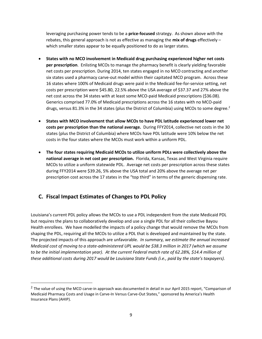leveraging purchasing power tends to be a **price-focused** strategy. As shown above with the rebates, this general approach is not as effective as managing the **mix of drugs** effectively – which smaller states appear to be equally positioned to do as larger states.

- **States with no MCO involvement in Medicaid drug purchasing experienced higher net costs per prescription**. Enlisting MCOs to manage the pharmacy benefit is clearly yielding favorable net costs per prescription. During 2014, ten states engaged in no MCO contracting and another six states used a pharmacy carve-out model within their capitated MCO program. Across these 16 states where 100% of Medicaid drugs were paid in the Medicaid fee-for-service setting, net costs per prescription were \$45.80, 22.5% above the USA average of \$37.37 and 27% above the net cost across the 34 states with at least some MCO-paid Medicaid prescriptions (\$36.08). Generics comprised 77.0% of Medicaid prescriptions across the 16 states with no MCO-paid drugs, versus 81.3% in the 34 states (plus the District of Columbia) using MCOs to some degree.<sup>2</sup>
- **States with MCO involvement that allow MCOs to have PDL latitude experienced lower net costs per prescription than the national average.** During FFY2014, collective net costs in the 30 states (plus the District of Columbia) where MCOs have PDL latitude were 10% below the net costs in the four states where the MCOs must work within a uniform PDL.
- **The four states requiring Medicaid MCOs to utilize uniform PDLs were collectively above the national average in net cost per prescription.** Florida, Kansas, Texas and West Virginia require MCOs to utilize a uniform statewide PDL. Average net costs per prescription across these states during FFY2014 were \$39.26, 5% above the USA total and 20% above the average net per prescription cost across the 17 states in the "top third" in terms of the generic dispensing rate.

### **C. Fiscal Impact Estimates of Changes to PDL Policy**

l

Louisiana's current PDL policy allows the MCOs to use a PDL independent from the state Medicaid PDL but requires the plans to collaboratively develop and use a single PDL for all their collective Bayou Health enrollees. We have modelled the impacts of a policy change that would remove the MCOs from shaping the PDL, requiring all the MCOs to utilize a PDL that is developed and maintained by the state. The projected impacts of this approach are unfavorable. *In summary, we estimate the annual increased Medicaid cost of moving to a state-administered UPL would be \$38.3 million in 2017 (which we assume to be the initial implementation year). At the current Federal match rate of 62.28%, \$14.4 million of these additional costs during 2017 would be Louisiana State Funds (i.e., paid by the state's taxpayers).*

<sup>&</sup>lt;sup>2</sup> The value of using the MCO carve-in approach was documented in detail in our April 2015 report, "Comparison of Medicaid Pharmacy Costs and Usage in Carve-In Versus Carve-Out States," sponsored by America's Health Insurance Plans (AHIP).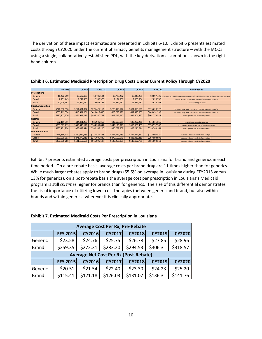The derivation of these impact estimates are presented in Exhibits 6-10. Exhibit 6 presents estimated costs through CY2020 under the current pharmacy benefits management structure – with the MCOs using a single, collaboratively established PDL, with the key derivation assumptions shown in the righthand column.

|                            | <b>FFY 2015</b> | CY2016        | <b>CY2017</b> | <b>CY2018</b> | CY2019        | <b>CY2020</b> | <b>Assumptions</b>                                                                                     |
|----------------------------|-----------------|---------------|---------------|---------------|---------------|---------------|--------------------------------------------------------------------------------------------------------|
|                            |                 |               |               |               |               |               |                                                                                                        |
| <b>Prescriptions</b>       |                 |               |               |               |               |               |                                                                                                        |
| Generic                    | 10.472.719      | 10,682,173    | 10,735,584    | 10,789,262    | 10,843,208    |               | 10,897,425 2% increase in 2016 to capture recent growth in MCO script volume, then 0.5 annual increase |
| <b>Brand</b>               | 2,451,443       | 2,241,989     | 2,188,578     | 2,134,900     | 2,080,954     | 2,026,737     | derived by subtracting constant total from generic estimate                                            |
| Total                      | 12,924,162      | 12,924,162    | 12,924,162    | 12,924,162    | 12,924,162    | 12,924,162    | no annual change assumed                                                                               |
| <b>Initial Amount Paid</b> |                 |               |               |               |               |               |                                                                                                        |
| Generic                    | \$246,938,396   | \$264,471,022 | \$276,425,112 | \$288,919,527 | \$301,978,690 | \$315,628,127 | 5% unit price growth assumed for 2016; 4% annual thereafter                                            |
| <b>Brand</b>               | \$635,769,574   | \$610,521,051 | \$619,815,680 | \$628,798,390 | \$637,425,800 | \$645,651,397 | 5% unit price growth assumed for 2016; 4% annual thereafter                                            |
| Total                      | \$882.707.970   | \$874,992,073 | \$896,240,792 | \$917,717,917 | \$939,404,490 | \$961,279,524 | sum of generic and brand components                                                                    |
| <b>Rebates</b>             |                 |               |               |               |               |               |                                                                                                        |
| Generic                    | \$32,101,991    | \$34,381,233  | \$35,935,265  | \$37,559,539  | \$39,257,230  | \$41,031,656  | 13% ACA rebate used throughout                                                                         |
| <b>Brand</b>               | \$353,069,713   | \$339,048,141 | \$344,209,841 | \$349,198,319 | \$353,989,485 | \$358,557,507 | 2015 average brand rebate (55.5%) used throughout                                                      |
| Total                      | \$385,171,704   | \$373,429,374 | \$380,145,106 | \$386,757,858 | \$393,246,714 | \$399,589,163 | sum of generic and brand components                                                                    |
| <b>Net Amount Paid</b>     |                 |               |               |               |               |               |                                                                                                        |
| Generic                    | \$214,836,404   | \$230.089.789 | \$240,489,848 | \$251,359,989 | \$262,721,460 | \$274,596,470 | subtract rebates from initial amount paid                                                              |
| <b>Brand</b>               | \$282,699,861   | \$271,472,910 | \$275,605,839 | \$279,600,070 | \$283,436,315 | \$287,093,891 | subtract rebates from initial amount paid                                                              |
| Total                      | \$497,536,266   | \$501,562,699 | \$516,095,687 | \$530,960,059 | \$546,157,775 | \$561,690,361 | subtract rebates from initial amount paid                                                              |

| Exhibit 6. Estimated Medicaid Prescription Drug Costs Under Current Policy Through CY2020 |  |  |  |
|-------------------------------------------------------------------------------------------|--|--|--|
|-------------------------------------------------------------------------------------------|--|--|--|

Exhibit 7 presents estimated average costs per prescription in Louisiana for brand and generics in each time period. On a pre-rebate basis, average costs per brand drug are 11 times higher than for generics. While much larger rebates apply to brand drugs (55.5% on average in Louisiana during FFY2015 versus 13% for generics), on a post-rebate basis the average cost per prescription in Louisiana's Medicaid program is still *six times* higher for brands than for generics. The size of this differential demonstrates the fiscal importance of utilizing lower cost therapies (between generic and brand, but also within brands and within generics) wherever it is clinically appropriate.

| <b>Exhibit 7. Estimated Medicaid Costs Per Prescription in Louisiana</b> |  |  |  |
|--------------------------------------------------------------------------|--|--|--|
|--------------------------------------------------------------------------|--|--|--|

| <b>Average Cost Per Rx, Pre-Rebate</b>       |                 |               |               |               |               |               |  |  |  |
|----------------------------------------------|-----------------|---------------|---------------|---------------|---------------|---------------|--|--|--|
|                                              | <b>FFY 2015</b> | <b>CY2016</b> | <b>CY2017</b> | <b>CY2018</b> | <b>CY2019</b> | <b>CY2020</b> |  |  |  |
| Generic                                      | \$23.58         | \$24.76       | \$25.75       | \$26.78       | \$27.85       | \$28.96       |  |  |  |
| <b>Brand</b>                                 | \$259.35        | \$272.31      | \$283.20      | \$294.53      | \$306.31      | \$318.57      |  |  |  |
| <b>Average Net Cost Per Rx (Post-Rebate)</b> |                 |               |               |               |               |               |  |  |  |
|                                              |                 |               |               |               |               |               |  |  |  |
|                                              | <b>FFY 2015</b> | <b>CY2016</b> | <b>CY2017</b> | <b>CY2018</b> | <b>CY2019</b> | <b>CY2020</b> |  |  |  |
| Generic                                      | \$20.51         | \$21.54       | \$22.40       | \$23.30       | \$24.23       | \$25.20       |  |  |  |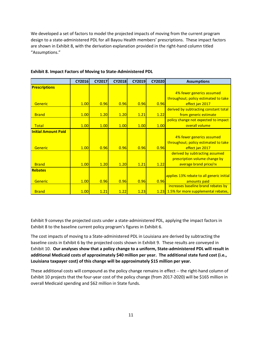We developed a set of factors to model the projected impacts of moving from the current program design to a state-administered PDL for all Bayou Health members' prescriptions. These impact factors are shown in Exhibit 8, with the derivation explanation provided in the right-hand column titled "Assumptions."

|                            | <b>CY2016</b> | <b>CY2017</b> | <b>CY2018</b> | <b>CY2019</b> | <b>CY2020</b> | <b>Assumptions</b>                        |
|----------------------------|---------------|---------------|---------------|---------------|---------------|-------------------------------------------|
| <b>Prescriptions</b>       |               |               |               |               |               |                                           |
|                            |               |               |               |               |               | 4% fewer generics assumed                 |
|                            |               |               |               |               |               | throughout; policy estimated to take      |
| <b>Generic</b>             | 1.00          | 0.96          | 0.96          | 0.96          | 0.96          | effect jan 2017                           |
|                            |               |               |               |               |               | derived by subtracting constant total     |
| <b>Brand</b>               | 1.00          | 1.20          | 1.20          | 1.21          | 1.22          | from generic estimate                     |
|                            |               |               |               |               |               | policy change not expected to impact      |
| <b>Total</b>               | 1.00          | 1.00          | 1.00          | 1.00          | 1.00          | overall volume                            |
| <b>Initial Amount Paid</b> |               |               |               |               |               |                                           |
|                            |               |               |               |               |               | 4% fewer generics assumed                 |
|                            |               |               |               |               |               | throughout; policy estimated to take      |
| <b>Generic</b>             | 1.00          | 0.96          | 0.96          | 0.96          | 0.96          | effect jan 2017                           |
|                            |               |               |               |               |               | derived by subtracting assumed            |
|                            |               |               |               |               |               | prescription volume change by             |
| <b>Brand</b>               | 1.00          | 1.20          | 1.20          | 1.21          | 1.22          | average brand price/rx                    |
| <b>Rebates</b>             |               |               |               |               |               |                                           |
|                            |               |               |               |               |               | applies 13% rebate to all generic initial |
| <b>Generic</b>             | 1.00          | 0.96          | 0.96          | 0.96          | 0.96          | amounts paid                              |
|                            |               |               |               |               |               | increases baseline brand rebates by       |
| <b>Brand</b>               | 1.00          | 1.21          | 1.22          | 1.23          |               | 1.23 1.5% for more supplemental rebates,  |

#### **Exhibit 8. Impact Factors of Moving to State-Administered PDL**

Exhibit 9 conveys the projected costs under a state-administered PDL, applying the impact factors in Exhibit 8 to the baseline current policy program's figures in Exhibit 6.

The cost impacts of moving to a State-administered PDL in Louisiana are derived by subtracting the baseline costs in Exhibit 6 by the projected costs shown in Exhibit 9. These results are conveyed in Exhibit 10. **Our analyses show that a policy change to a uniform, State-administered PDL will result in additional Medicaid costs of approximately \$40 million per year. The additional state fund cost (i.e., Louisiana taxpayer cost) of this change will be approximately \$15 million per year.** 

These additional costs will compound as the policy change remains in effect -- the right-hand column of Exhibit 10 projects that the four-year cost of the policy change (from 2017-2020) will be \$165 million in overall Medicaid spending and \$62 million in State funds.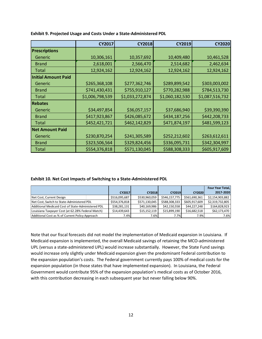|                            | CY2017          | <b>CY2018</b>   | <b>CY2019</b>   | <b>CY2020</b>   |
|----------------------------|-----------------|-----------------|-----------------|-----------------|
| <b>Prescriptions</b>       |                 |                 |                 |                 |
| Generic                    | 10,306,161      | 10,357,692      | 10,409,480      | 10,461,528      |
| <b>Brand</b>               | 2,618,001       | 2,566,470       | 2,514,682       | 2,462,634       |
| Total                      | 12,924,162      | 12,924,162      | 12,924,162      | 12,924,162      |
| <b>Initial Amount Paid</b> |                 |                 |                 |                 |
| Generic                    | \$265,368,108   | \$277,362,746   | \$289,899,542   | \$303,003,002   |
| <b>Brand</b>               | \$741,430,431   | \$755,910,127   | \$770,282,988   | \$784,513,730   |
| Total                      | \$1,006,798,539 | \$1,033,272,874 | \$1,060,182,530 | \$1,087,516,732 |
| <b>Rebates</b>             |                 |                 |                 |                 |
| Generic                    | \$34,497,854    | \$36,057,157    | \$37,686,940    | \$39,390,390    |
| <b>Brand</b>               | \$417,923,867   | \$426,085,672   | \$434,187,256   | \$442,208,733   |
| <b>Total</b>               | \$452,421,721   | \$462,142,829   | \$471,874,197   | \$481,599,123   |
| <b>Net Amount Paid</b>     |                 |                 |                 |                 |
| Generic                    | \$230,870,254   | \$241,305,589   | \$252,212,602   | \$263,612,611   |
| <b>Brand</b>               | \$323,506,564   | \$329,824,456   | \$336,095,731   | \$342,304,997   |
| <b>Total</b>               | \$554,376,818   | \$571,130,045   | \$588,308,333   | \$605,917,609   |

**Exhibit 9. Projected Usage and Costs Under a State-Administered PDL**

**Exhibit 10. Net Cost Impacts of Switching to a State-Administered PDL**

|                                                    |  |               |               |               |               | <b>Four Year Total,</b> |
|----------------------------------------------------|--|---------------|---------------|---------------|---------------|-------------------------|
|                                                    |  | <b>CY2017</b> | <b>CY2018</b> | <b>CY2019</b> | <b>CY2020</b> | 2017-2020               |
| Net Cost, Current Design                           |  | \$516,095,687 | \$530,960,059 | \$546,157,775 | \$561,690,361 | \$2,154,903,882         |
| Net Cost, Switch to State-Administered PDL         |  | \$554,376,818 | \$571,130,045 | \$588,308,333 | \$605,917,609 | \$2,319,732,805         |
| Additional Medicaid Cost of State-Administered PDL |  | \$38,281.131  | \$40.169.986  | \$42,150,558  | \$44,227,248  | \$164,828,923           |
| Louisiana Taxpayer Cost (at 62.28% Federal Match)  |  | \$14,439,643  | \$15,152,119  | \$15,899,190  | \$16,682,518  | \$62,173,470            |
| Additional Cost as % of Current Policy Approach    |  | 7.4%          | 7.6%          | 7.7%          | 7.9%          | 7.6%                    |

Note that our fiscal forecasts did not model the implementation of Medicaid expansion in Louisiana. If Medicaid expansion is implemented, the overall Medicaid savings of retaining the MCO-administered UPL (versus a state-administered UPL) would increase substantially. However, the State Fund savings would increase only slightly under Medicaid expansion given the predominant Federal contribution to the expansion population's costs. The Federal government currently pays 100% of medical costs for the expansion population (in those states that have implemented expansion). In Louisiana, the Federal Government would contribute 95% of the expansion population's medical costs as of October 2016, with this contribution decreasing in each subsequent year but never falling below 90%.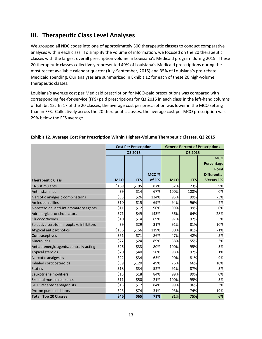# **III. Therapeutic Class Level Analyses**

We grouped all NDC codes into one of approximately 300 therapeutic classes to conduct comparative analyses within each class. To simplify the volume of information, we focused on the 20 therapeutic classes with the largest overall prescription volume in Louisiana's Medicaid program during 2015. These 20 therapeutic classes collectively represented 49% of Louisiana's Medicaid prescriptions during the most recent available calendar quarter (July-September, 2015) and 35% of Louisiana's pre-rebate Medicaid spending. Our analyses are summarized in Exhibit 12 for each of these 20 high-volume therapeutic classes.

Louisiana's average cost per Medicaid prescription for MCO-paid prescriptions was compared with corresponding fee-for-service (FFS) paid prescriptions for Q3 2015 in each class in the left-hand columns of Exhibit 12. In 17 of the 20 classes, the average cost per prescription was lower in the MCO setting than in FFS. Collectively across the 20 therapeutic classes, the average cost per MCO prescription was 29% below the FFS average.

|                                         | <b>Cost Per Prescription</b> |            |        | <b>Generic Percent of Prescriptions</b> |            |                     |
|-----------------------------------------|------------------------------|------------|--------|-----------------------------------------|------------|---------------------|
|                                         | Q3 2015                      |            |        | Q3 2015                                 |            |                     |
|                                         |                              |            |        |                                         |            | <b>MCO</b>          |
|                                         |                              |            |        |                                         |            | Percentage          |
|                                         |                              |            |        |                                         |            | Point               |
|                                         |                              |            | MCO%   |                                         |            | <b>Differential</b> |
| <b>Therapeutic Class</b>                | <b>MCO</b>                   | <b>FFS</b> | of FFS | <b>MCO</b>                              | <b>FFS</b> | <b>Versus FFS</b>   |
| <b>CNS</b> stimulants                   | \$169                        | \$195      | 87%    | 32%                                     | 23%        | 9%                  |
| Antihistamines                          | \$9                          | \$14       | 67%    | 100%                                    | 100%       | 0%                  |
| Narcotic analgesic combinations         | \$35                         | \$26       | 134%   | 95%                                     | 99%        | $-5%$               |
| Aminopenicillins                        | \$10                         | \$15       | 69%    | 94%                                     | 96%        | $-2%$               |
| Nonsteroidal anti-inflammatory agents   | \$11                         | \$12       | 90%    | 99%                                     | 99%        | 0%                  |
| Adrenergic bronchodilators              | \$71                         | \$49       | 143%   | 36%                                     | 64%        | $-28%$              |
| Glucocorticoids                         | \$10                         | \$14       | 69%    | 97%                                     | 92%        | 5%                  |
| Selective serotonin reuptake inhibitors | \$9                          | \$29       | 31%    | 91%                                     | 81%        | 10%                 |
| Atypical antipsychotics                 | \$186                        | \$156      | 119%   | 80%                                     | 81%        | $-1%$               |
| Contraceptives                          | \$61                         | \$71       | 86%    | 47%                                     | 42%        | 5%                  |
| <b>Macrolides</b>                       | \$22                         | \$24       | 89%    | 58%                                     | 55%        | 3%                  |
| Antiadrenergic agents, centrally acting | \$26                         | \$33       | 80%    | 100%                                    | 95%        | 5%                  |
| <b>Topical steroids</b>                 | \$20                         | \$40       | 50%    | 98%                                     | 97%        | 1%                  |
| Narcotic analgesics                     | \$22                         | \$34       | 65%    | 90%                                     | 81%        | 9%                  |
| Inhaled corticosteroids                 | \$59                         | \$120      | 49%    | 76%                                     | 66%        | 10%                 |
| <b>Statins</b>                          | \$18                         | \$34       | 52%    | 91%                                     | 87%        | 3%                  |
| Leukotriene modifiers                   | \$15                         | \$18       | 84%    | 99%                                     | 99%        | 0%                  |
| Skeletal muscle relaxants               | \$11                         | \$50       | 21%    | 100%                                    | 95%        | 5%                  |
| 5HT3 receptor antagonists               | \$15                         | \$17       | 84%    | 99%                                     | 96%        | 3%                  |
| Proton pump inhibitors                  | \$23                         | \$74       | 31%    | 93%                                     | 74%        | 19%                 |
| <b>Total, Top 20 Classes</b>            | \$46                         | \$65       | 71%    | 81%                                     | 75%        | 6%                  |

#### **Exhibit 12. Average Cost Per Prescription Within Highest-Volume Therapeutic Classes, Q3 2015**